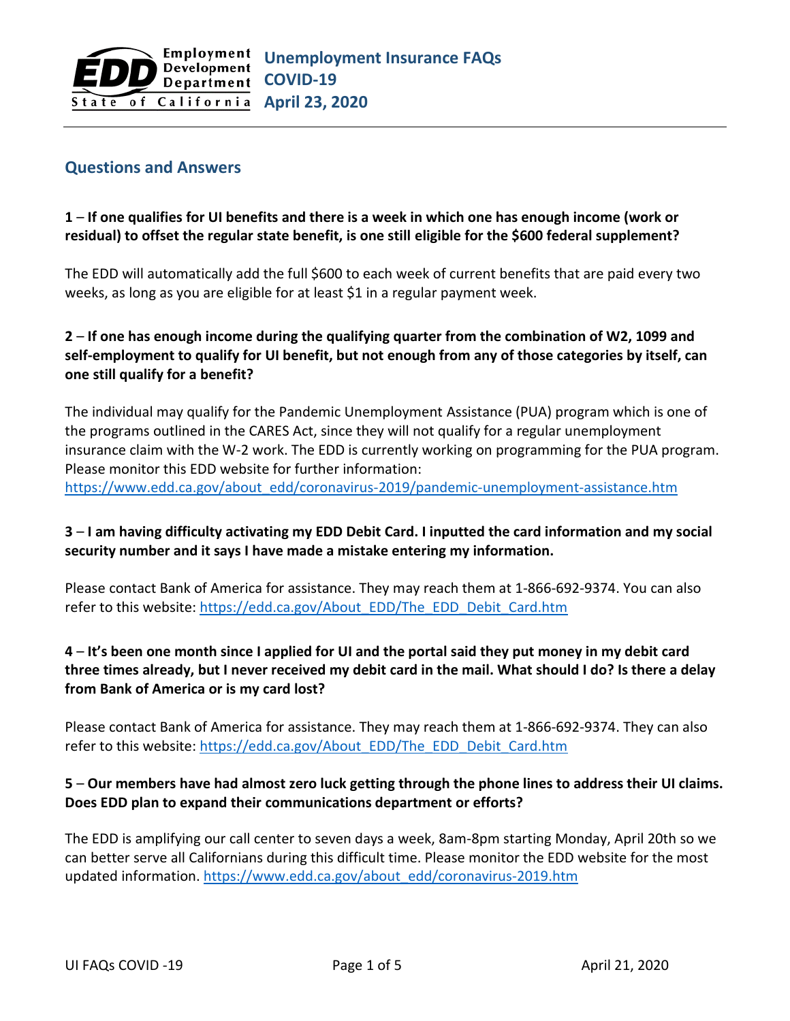#### **Questions and Answers**

### **1** – **If one qualifies for UI benefits and there is a week in which one has enough income (work or residual) to offset the regular state benefit, is one still eligible for the \$600 federal supplement?**

The EDD will automatically add the full \$600 to each week of current benefits that are paid every two weeks, as long as you are eligible for at least \$1 in a regular payment week.

## **2** – **If one has enough income during the qualifying quarter from the combination of W2, 1099 and self-employment to qualify for UI benefit, but not enough from any of those categories by itself, can one still qualify for a benefit?**

The individual may qualify for the Pandemic Unemployment Assistance (PUA) program which is one of the programs outlined in the CARES Act, since they will not qualify for a regular unemployment insurance claim with the W-2 work. The EDD is currently working on programming for the PUA program. Please monitor this EDD website for further information: [https://www.edd.ca.gov/about\\_edd/coronavirus-2019/pandemic-unemployment-assistance.htm](https://www.edd.ca.gov/about_edd/coronavirus-2019/pandemic-unemployment-assistance.htm)

### **3** – **I am having difficulty activating my EDD Debit Card. I inputted the card information and my social security number and it says I have made a mistake entering my information.**

Please contact Bank of America for assistance. They may reach them at 1-866-692-9374. You can also refer to this website: [https://edd.ca.gov/About\\_EDD/The\\_EDD\\_Debit\\_Card.htm](https://edd.ca.gov/About_EDD/The_EDD_Debit_Card.htm)

## **4** – **It's been one month since I applied for UI and the portal said they put money in my debit card three times already, but I never received my debit card in the mail. What should I do? Is there a delay from Bank of America or is my card lost?**

Please contact Bank of America for assistance. They may reach them at 1-866-692-9374. They can also refer to this website: [https://edd.ca.gov/About\\_EDD/The\\_EDD\\_Debit\\_Card.htm](https://edd.ca.gov/About_EDD/The_EDD_Debit_Card.htm)

### **5** – **Our members have had almost zero luck getting through the phone lines to address their UI claims. Does EDD plan to expand their communications department or efforts?**

The EDD is amplifying our call center to seven days a week, 8am-8pm starting Monday, April 20th so we can better serve all Californians during this difficult time. Please monitor the EDD website for the most updated information. [https://www.edd.ca.gov/about\\_edd/coronavirus-2019.htm](https://www.edd.ca.gov/about_edd/coronavirus-2019.htm)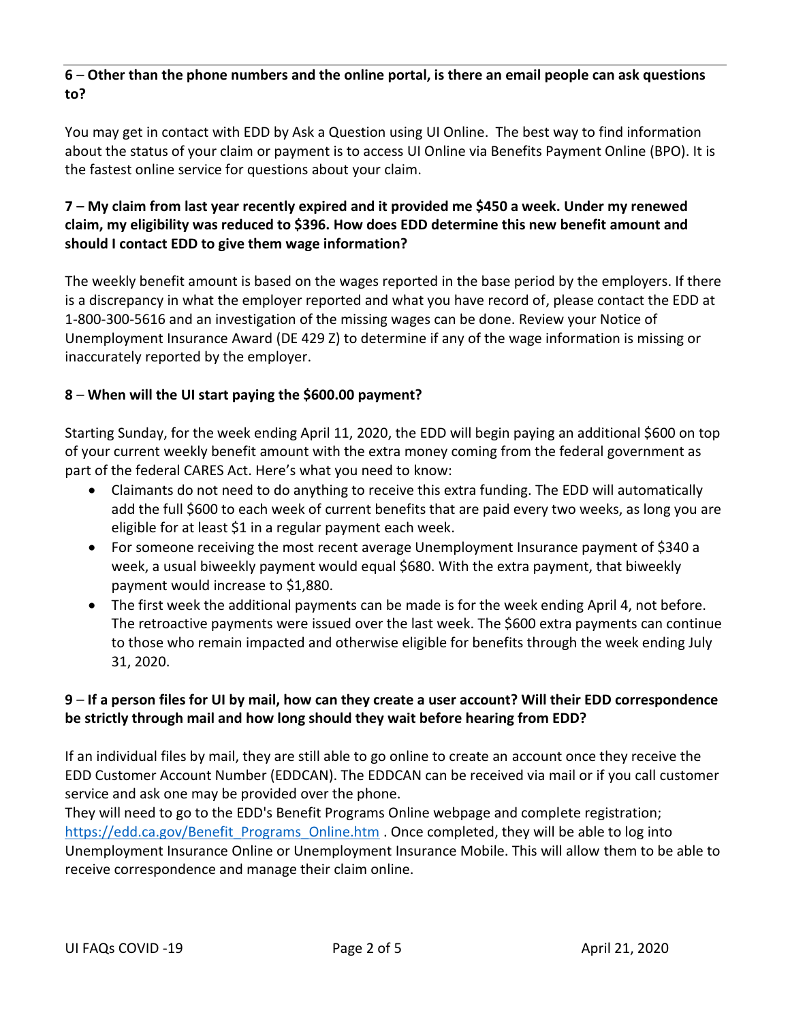## **6** – **Other than the phone numbers and the online portal, is there an email people can ask questions to?**

You may get in contact with EDD by Ask a Question using UI Online. The best way to find information about the status of your claim or payment is to access UI Online via Benefits Payment Online (BPO). It is the fastest online service for questions about your claim.

## **7** – **My claim from last year recently expired and it provided me \$450 a week. Under my renewed claim, my eligibility was reduced to \$396. How does EDD determine this new benefit amount and should I contact EDD to give them wage information?**

The weekly benefit amount is based on the wages reported in the base period by the employers. If there is a discrepancy in what the employer reported and what you have record of, please contact the EDD at 1-800-300-5616 and an investigation of the missing wages can be done. Review your Notice of Unemployment Insurance Award (DE 429 Z) to determine if any of the wage information is missing or inaccurately reported by the employer.

## **8** – **When will the UI start paying the \$600.00 payment?**

Starting Sunday, for the week ending April 11, 2020, the EDD will begin paying an additional \$600 on top of your current weekly benefit amount with the extra money coming from the federal government as part of the federal CARES Act. Here's what you need to know:

- Claimants do not need to do anything to receive this extra funding. The EDD will automatically add the full \$600 to each week of current benefits that are paid every two weeks, as long you are eligible for at least \$1 in a regular payment each week.
- For someone receiving the most recent average Unemployment Insurance payment of \$340 a week, a usual biweekly payment would equal \$680. With the extra payment, that biweekly payment would increase to \$1,880.
- The first week the additional payments can be made is for the week ending April 4, not before. The retroactive payments were issued over the last week. The \$600 extra payments can continue to those who remain impacted and otherwise eligible for benefits through the week ending July 31, 2020.

## **9** – **If a person files for UI by mail, how can they create a user account? Will their EDD correspondence be strictly through mail and how long should they wait before hearing from EDD?**

If an individual files by mail, they are still able to go online to create an account once they receive the EDD Customer Account Number (EDDCAN). The EDDCAN can be received via mail or if you call customer service and ask one may be provided over the phone.

They will need to go to the EDD's Benefit Programs Online webpage and complete registration; [https://edd.ca.gov/Benefit\\_Programs\\_Online.htm](https://edd.ca.gov/Benefit_Programs_Online.htm) . Once completed, they will be able to log into Unemployment Insurance Online or Unemployment Insurance Mobile. This will allow them to be able to receive correspondence and manage their claim online.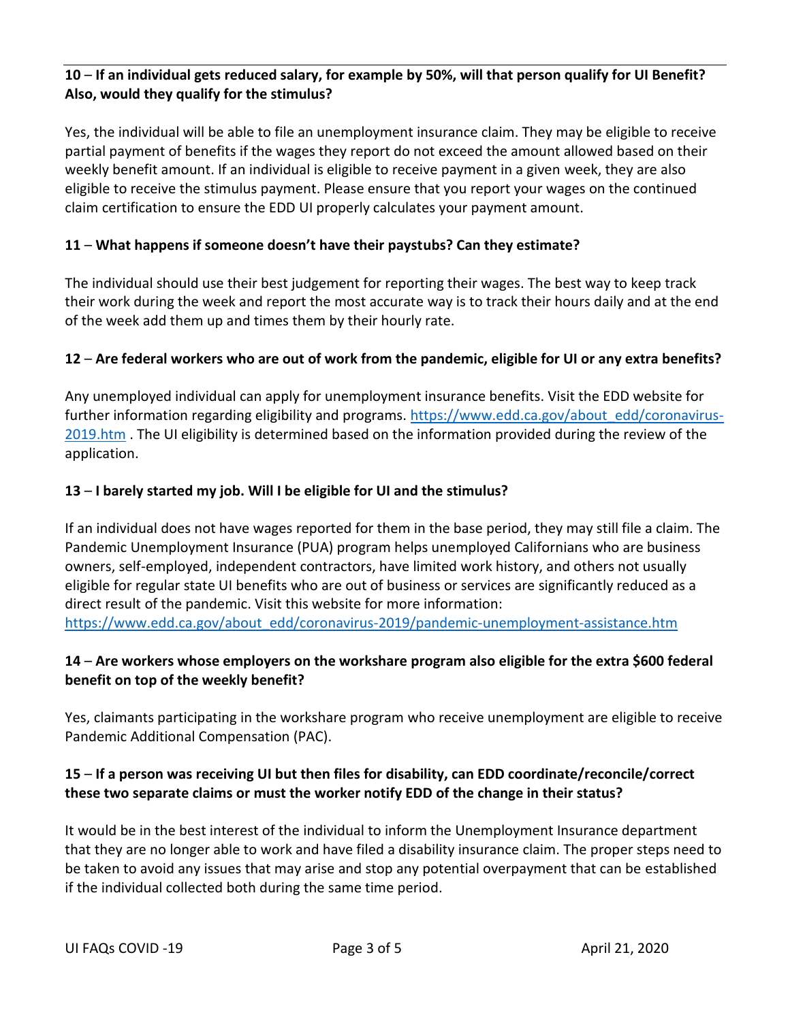## **10** – **If an individual gets reduced salary, for example by 50%, will that person qualify for UI Benefit? Also, would they qualify for the stimulus?**

Yes, the individual will be able to file an unemployment insurance claim. They may be eligible to receive partial payment of benefits if the wages they report do not exceed the amount allowed based on their weekly benefit amount. If an individual is eligible to receive payment in a given week, they are also eligible to receive the stimulus payment. Please ensure that you report your wages on the continued claim certification to ensure the EDD UI properly calculates your payment amount.

## **11** – **What happens if someone doesn't have their paystubs? Can they estimate?**

The individual should use their best judgement for reporting their wages. The best way to keep track their work during the week and report the most accurate way is to track their hours daily and at the end of the week add them up and times them by their hourly rate.

## **12** – **Are federal workers who are out of work from the pandemic, eligible for UI or any extra benefits?**

Any unemployed individual can apply for unemployment insurance benefits. Visit the EDD website for further information regarding eligibility and programs. [https://www.edd.ca.gov/about\\_edd/coronavirus-](https://www.edd.ca.gov/about_edd/coronavirus-2019.htm)[2019.htm](https://www.edd.ca.gov/about_edd/coronavirus-2019.htm) . The UI eligibility is determined based on the information provided during the review of the application.

### **13** – **I barely started my job. Will I be eligible for UI and the stimulus?**

If an individual does not have wages reported for them in the base period, they may still file a claim. The Pandemic Unemployment Insurance (PUA) program helps unemployed Californians who are business owners, self-employed, independent contractors, have limited work history, and others not usually eligible for regular state UI benefits who are out of business or services are significantly reduced as a direct result of the pandemic. Visit this website for more information: [https://www.edd.ca.gov/about\\_edd/coronavirus-2019/pandemic-unemployment-assistance.htm](https://www.edd.ca.gov/about_edd/coronavirus-2019/pandemic-unemployment-assistance.htm)

### **14** – **Are workers whose employers on the workshare program also eligible for the extra \$600 federal benefit on top of the weekly benefit?**

Yes, claimants participating in the workshare program who receive unemployment are eligible to receive Pandemic Additional Compensation (PAC).

## **15** – **If a person was receiving UI but then files for disability, can EDD coordinate/reconcile/correct these two separate claims or must the worker notify EDD of the change in their status?**

It would be in the best interest of the individual to inform the Unemployment Insurance department that they are no longer able to work and have filed a disability insurance claim. The proper steps need to be taken to avoid any issues that may arise and stop any potential overpayment that can be established if the individual collected both during the same time period.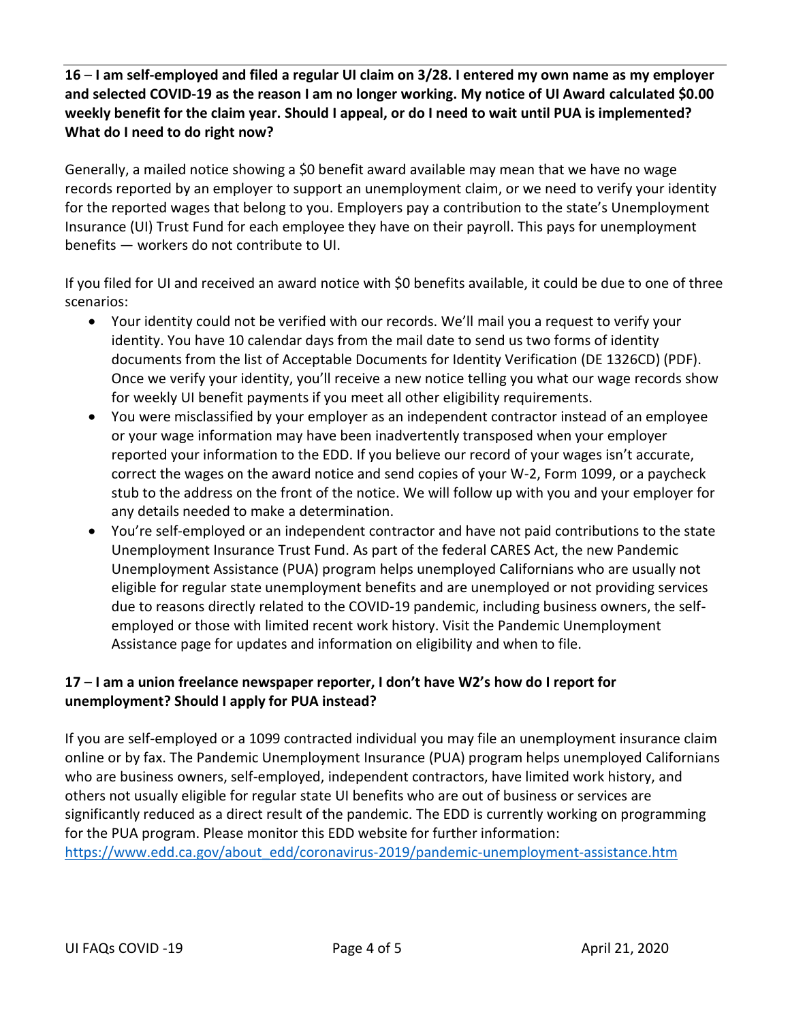**16** – **I am self-employed and filed a regular UI claim on 3/28. I entered my own name as my employer and selected COVID-19 as the reason I am no longer working. My notice of UI Award calculated \$0.00 weekly benefit for the claim year. Should I appeal, or do I need to wait until PUA is implemented? What do I need to do right now?**

Generally, a mailed notice showing a \$0 benefit award available may mean that we have no wage records reported by an employer to support an unemployment claim, or we need to verify your identity for the reported wages that belong to you. Employers pay a contribution to the state's Unemployment Insurance (UI) Trust Fund for each employee they have on their payroll. This pays for unemployment benefits — workers do not contribute to UI.

If you filed for UI and received an award notice with \$0 benefits available, it could be due to one of three scenarios:

- Your identity could not be verified with our records. We'll mail you a request to verify your identity. You have 10 calendar days from the mail date to send us two forms of identity documents from the list of Acceptable Documents for Identity Verification (DE 1326CD) (PDF). Once we verify your identity, you'll receive a new notice telling you what our wage records show for weekly UI benefit payments if you meet all other eligibility requirements.
- You were misclassified by your employer as an independent contractor instead of an employee or your wage information may have been inadvertently transposed when your employer reported your information to the EDD. If you believe our record of your wages isn't accurate, correct the wages on the award notice and send copies of your W-2, Form 1099, or a paycheck stub to the address on the front of the notice. We will follow up with you and your employer for any details needed to make a determination.
- You're self-employed or an independent contractor and have not paid contributions to the state Unemployment Insurance Trust Fund. As part of the federal CARES Act, the new Pandemic Unemployment Assistance (PUA) program helps unemployed Californians who are usually not eligible for regular state unemployment benefits and are unemployed or not providing services due to reasons directly related to the COVID-19 pandemic, including business owners, the selfemployed or those with limited recent work history. Visit the Pandemic Unemployment Assistance page for updates and information on eligibility and when to file.

## **17** – **I am a union freelance newspaper reporter, I don't have W2's how do I report for unemployment? Should I apply for PUA instead?**

If you are self-employed or a 1099 contracted individual you may file an unemployment insurance claim online or by fax. The Pandemic Unemployment Insurance (PUA) program helps unemployed Californians who are business owners, self-employed, independent contractors, have limited work history, and others not usually eligible for regular state UI benefits who are out of business or services are significantly reduced as a direct result of the pandemic. The EDD is currently working on programming for the PUA program. Please monitor this EDD website for further information: [https://www.edd.ca.gov/about\\_edd/coronavirus-2019/pandemic-unemployment-assistance.htm](https://www.edd.ca.gov/about_edd/coronavirus-2019/pandemic-unemployment-assistance.htm)